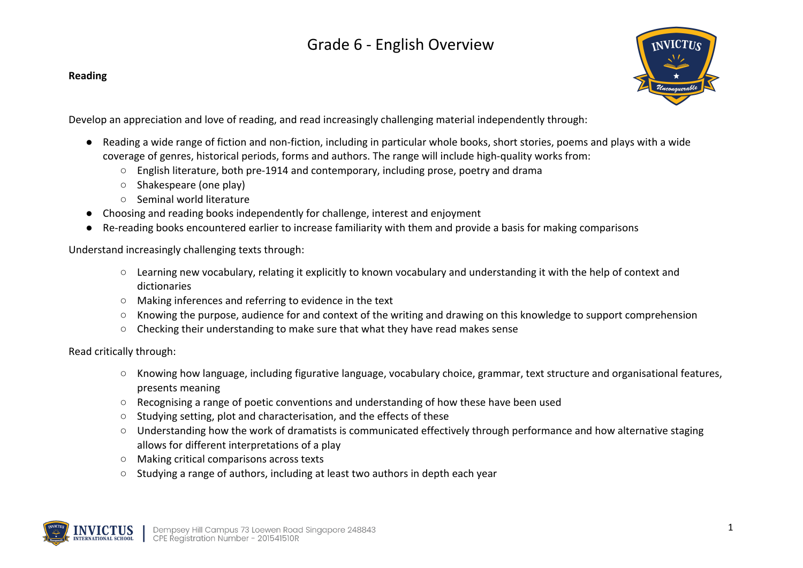# Grade 6 - English Overview

#### **Reading**



Develop an appreciation and love of reading, and read increasingly challenging material independently through:

- Reading a wide range of fiction and non-fiction, including in particular whole books, short stories, poems and plays with a wide coverage of genres, historical periods, forms and authors. The range will include high-quality works from:
	- $\circ$  English literature, both pre-1914 and contemporary, including prose, poetry and drama
	- Shakespeare (one play)
	- Seminal world literature
- Choosing and reading books independently for challenge, interest and enjoyment
- Re-reading books encountered earlier to increase familiarity with them and provide a basis for making comparisons

Understand increasingly challenging texts through:

- Learning new vocabulary, relating it explicitly to known vocabulary and understanding it with the help of context and dictionaries
- Making inferences and referring to evidence in the text
- Knowing the purpose, audience for and context of the writing and drawing on this knowledge to support comprehension
- Checking their understanding to make sure that what they have read makes sense

### Read critically through:

- Knowing how language, including figurative language, vocabulary choice, grammar, text structure and organisational features, presents meaning
- Recognising a range of poetic conventions and understanding of how these have been used
- Studying setting, plot and characterisation, and the effects of these
- Understanding how the work of dramatists is communicated effectively through performance and how alternative staging allows for different interpretations of a play
- Making critical comparisons across texts
- Studying a range of authors, including at least two authors in depth each year

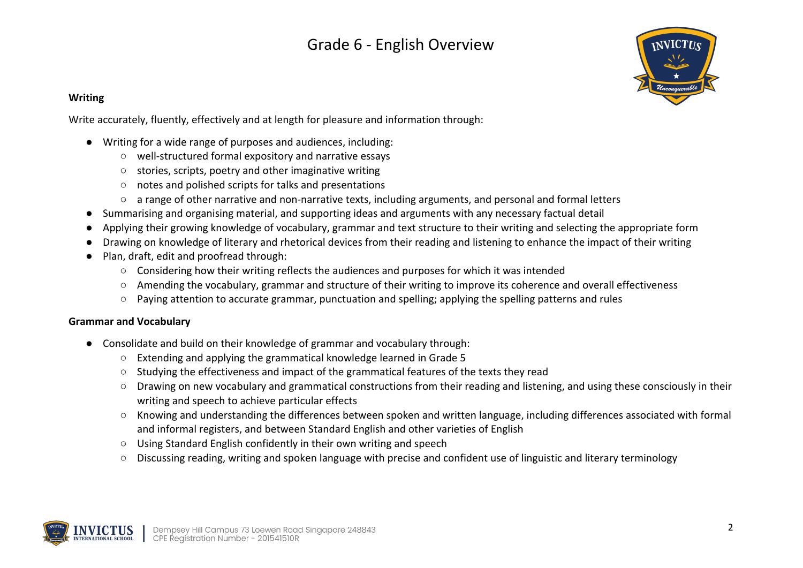## Grade 6 - English Overview



### **Writing**

Write accurately, fluently, effectively and at length for pleasure and information through:

- Writing for a wide range of purposes and audiences, including:
	- well-structured formal expository and narrative essays
	- stories, scripts, poetry and other imaginative writing
	- notes and polished scripts for talks and presentations
	- a range of other narrative and non-narrative texts, including arguments, and personal and formal letters
- Summarising and organising material, and supporting ideas and arguments with any necessary factual detail
- Applying their growing knowledge of vocabulary, grammar and text structure to their writing and selecting the appropriate form
- Drawing on knowledge of literary and rhetorical devices from their reading and listening to enhance the impact of their writing
- Plan, draft, edit and proofread through:
	- Considering how their writing reflects the audiences and purposes for which it was intended
	- Amending the vocabulary, grammar and structure of their writing to improve its coherence and overall effectiveness
	- Paying attention to accurate grammar, punctuation and spelling; applying the spelling patterns and rules

#### **Grammar and Vocabulary**

- Consolidate and build on their knowledge of grammar and vocabulary through:
	- Extending and applying the grammatical knowledge learned in Grade 5
	- Studying the effectiveness and impact of the grammatical features of the texts they read
	- Drawing on new vocabulary and grammatical constructions from their reading and listening, and using these consciously in their writing and speech to achieve particular effects
	- Knowing and understanding the differences between spoken and written language, including differences associated with formal and informal registers, and between Standard English and other varieties of English
	- Using Standard English confidently in their own writing and speech
	- Discussing reading, writing and spoken language with precise and confident use of linguistic and literary terminology